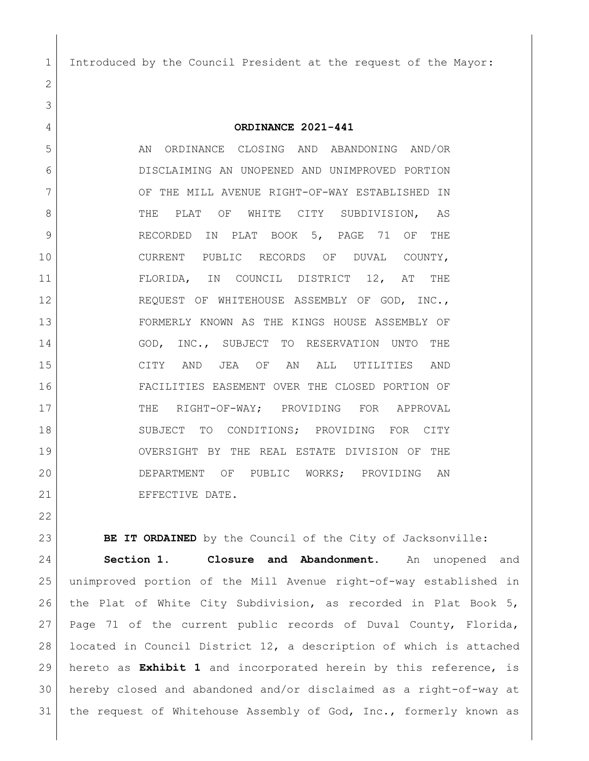Introduced by the Council President at the request of the Mayor:

**ORDINANCE 2021-441**

5 AN ORDINANCE CLOSING AND ABANDONING AND/OR DISCLAIMING AN UNOPENED AND UNIMPROVED PORTION 7 OF THE MILL AVENUE RIGHT-OF-WAY ESTABLISHED IN 8 SUBDIVISION, AS RECORDED IN PLAT BOOK 5, PAGE 71 OF THE 10 CURRENT PUBLIC RECORDS OF DUVAL COUNTY, FLORIDA, IN COUNCIL DISTRICT 12, AT THE 12 REQUEST OF WHITEHOUSE ASSEMBLY OF GOD, INC., FORMERLY KNOWN AS THE KINGS HOUSE ASSEMBLY OF 14 GOD, INC., SUBJECT TO RESERVATION UNTO THE CITY AND JEA OF AN ALL UTILITIES AND FACILITIES EASEMENT OVER THE CLOSED PORTION OF 17 THE RIGHT-OF-WAY; PROVIDING FOR APPROVAL 18 SUBJECT TO CONDITIONS; PROVIDING FOR CITY OVERSIGHT BY THE REAL ESTATE DIVISION OF THE DEPARTMENT OF PUBLIC WORKS; PROVIDING AN 21 EFFECTIVE DATE.

**BE IT ORDAINED** by the Council of the City of Jacksonville: **Section 1. Closure and Abandonment.** An unopened and unimproved portion of the Mill Avenue right-of-way established in the Plat of White City Subdivision, as recorded in Plat Book 5, Page 71 of the current public records of Duval County, Florida, located in Council District 12, a description of which is attached hereto as **Exhibit 1** and incorporated herein by this reference, is hereby closed and abandoned and/or disclaimed as a right-of-way at 31 the request of Whitehouse Assembly of God, Inc., formerly known as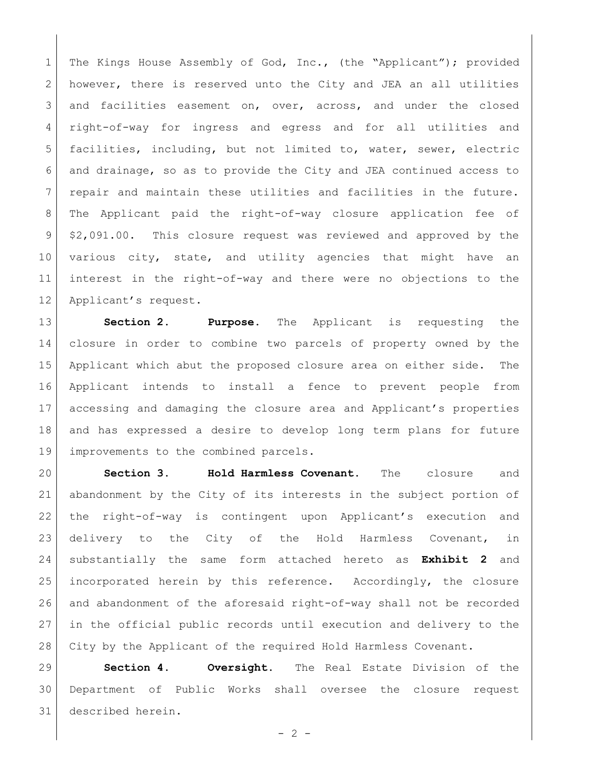The Kings House Assembly of God, Inc., (the "Applicant"); provided however, there is reserved unto the City and JEA an all utilities 3 and facilities easement on, over, across, and under the closed right-of-way for ingress and egress and for all utilities and facilities, including, but not limited to, water, sewer, electric and drainage, so as to provide the City and JEA continued access to 7 | repair and maintain these utilities and facilities in the future. The Applicant paid the right-of-way closure application fee of \$2,091.00. This closure request was reviewed and approved by the 10 various city, state, and utility agencies that might have an interest in the right-of-way and there were no objections to the 12 Applicant's request.

 **Section 2. Purpose.** The Applicant is requesting the closure in order to combine two parcels of property owned by the Applicant which abut the proposed closure area on either side. The Applicant intends to install a fence to prevent people from accessing and damaging the closure area and Applicant's properties and has expressed a desire to develop long term plans for future 19 improvements to the combined parcels.

 **Section 3. Hold Harmless Covenant.** The closure and abandonment by the City of its interests in the subject portion of the right-of-way is contingent upon Applicant's execution and delivery to the City of the Hold Harmless Covenant, in substantially the same form attached hereto as **Exhibit 2** and incorporated herein by this reference. Accordingly, the closure and abandonment of the aforesaid right-of-way shall not be recorded in the official public records until execution and delivery to the 28 City by the Applicant of the required Hold Harmless Covenant.

 **Section 4. Oversight.** The Real Estate Division of the Department of Public Works shall oversee the closure request described herein.